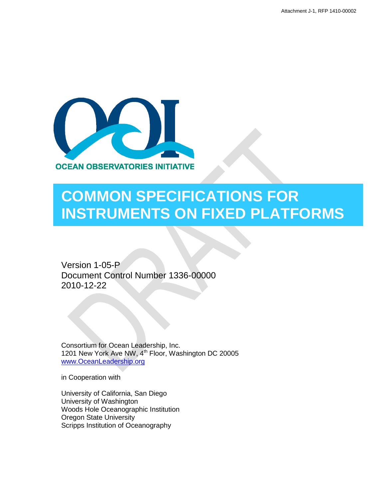

# **COMMON SPECIFICATIONS FOR INSTRUMENTS ON FIXED PLATFORMS**

Version 1-05-P Document Control Number 1336-00000 2010-12-22

Consortium for Ocean Leadership, Inc. 1201 New York Ave NW, 4<sup>th</sup> Floor, Washington DC 20005 [www.OceanLeadership.org](http://www.oceanleadership.org/)

in Cooperation with

University of California, San Diego University of Washington Woods Hole Oceanographic Institution Oregon State University Scripps Institution of Oceanography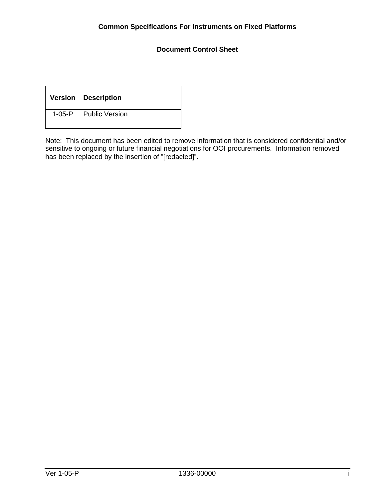## **Document Control Sheet**

|              | Version   Description |
|--------------|-----------------------|
| $1 - 05 - P$ | Public Version        |

Note: This document has been edited to remove information that is considered confidential and/or sensitive to ongoing or future financial negotiations for OOI procurements. Information removed has been replaced by the insertion of "[redacted]".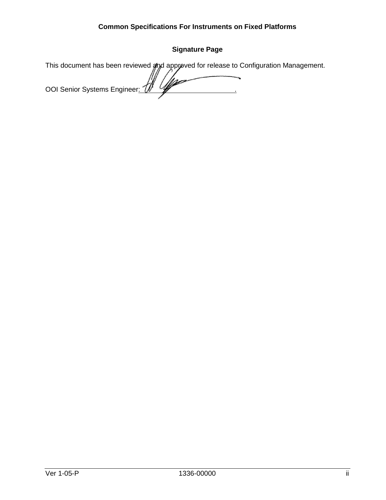# **Signature Page**

| This document has been reviewed and approved for release to Configuration Management. |
|---------------------------------------------------------------------------------------|
|                                                                                       |
| OOI Senior Systems Engineer: $\mathcal{W}$                                            |
|                                                                                       |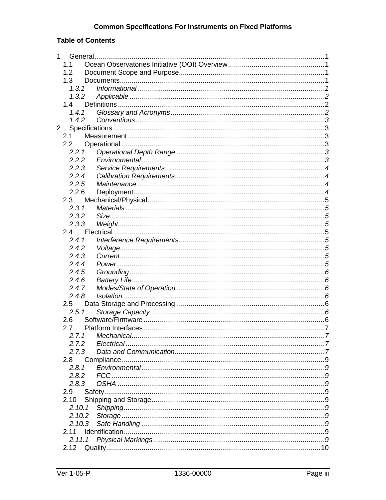# **Table of Contents**

| $\mathbf 1$ |         |    |
|-------------|---------|----|
|             | 1.1     |    |
|             | 1.2     |    |
|             | 1.3     |    |
|             | 1, 3, 1 |    |
|             | 1.3.2   |    |
|             | 1.4     |    |
|             | 1.4.1   |    |
|             | 1.4.2   |    |
| $2^{\circ}$ |         |    |
|             | 2.1     |    |
|             | 2.2     |    |
|             | 2.2.1   |    |
|             | 2.2.2   |    |
|             | 2.2.3   |    |
|             | 2.2.4   |    |
|             | 2.2.5   |    |
|             | 2.2.6   |    |
|             | 2.3     |    |
|             | 2.3.1   |    |
|             | 2.3.2   |    |
|             | 2.3.3   |    |
|             | 2.4     |    |
|             | 2.4.1   |    |
|             | 2.4.2   |    |
|             | 2.4.3   |    |
|             | 2.4.4   |    |
|             | 2.4.5   |    |
|             | 2.4.6   |    |
|             | 2.4.7   |    |
|             | 2.4.8   |    |
|             | 2.5     |    |
|             | 2.5.1   |    |
|             | 2.6     |    |
|             | 2.7     |    |
|             |         | .7 |
|             | 2.7.2   |    |
|             | 2.7.3   |    |
|             | 2.8     |    |
|             | 2.8.1   |    |
|             | 2.8.2   |    |
|             | 2.8.3   |    |
|             | 2.9     |    |
|             | 2.10    |    |
|             | 2.10.1  |    |
|             | 2.10.2  |    |
|             | 2.10.3  |    |
|             | 2.11    |    |
|             | 2.11.1  |    |
|             | 2.12    |    |
|             |         |    |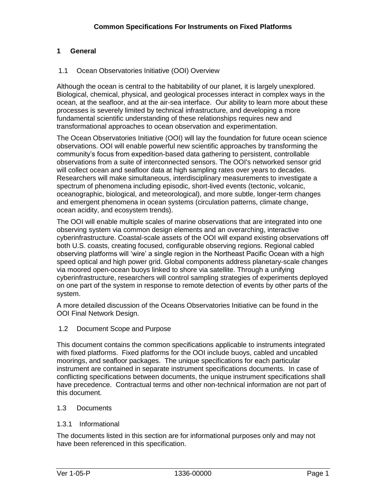#### <span id="page-5-0"></span>**1 General**

#### <span id="page-5-1"></span>1.1 Ocean Observatories Initiative (OOI) Overview

Although the ocean is central to the habitability of our planet, it is largely unexplored. Biological, chemical, physical, and geological processes interact in complex ways in the ocean, at the seafloor, and at the air-sea interface. Our ability to learn more about these processes is severely limited by technical infrastructure, and developing a more fundamental scientific understanding of these relationships requires new and transformational approaches to ocean observation and experimentation.

The Ocean Observatories Initiative (OOI) will lay the foundation for future ocean science observations. OOI will enable powerful new scientific approaches by transforming the community"s focus from expedition-based data gathering to persistent, controllable observations from a suite of interconnected sensors. The OOI's networked sensor grid will collect ocean and seafloor data at high sampling rates over years to decades. Researchers will make simultaneous, interdisciplinary measurements to investigate a spectrum of phenomena including episodic, short-lived events (tectonic, volcanic, oceanographic, biological, and meteorological), and more subtle, longer-term changes and emergent phenomena in ocean systems (circulation patterns, climate change, ocean acidity, and ecosystem trends).

The OOI will enable multiple scales of marine observations that are integrated into one observing system via common design elements and an overarching, interactive cyberinfrastructure. Coastal-scale assets of the OOI will expand existing observations off both U.S. coasts, creating focused, configurable observing regions. Regional cabled observing platforms will "wire" a single region in the Northeast Pacific Ocean with a high speed optical and high power grid. Global components address planetary-scale changes via moored open-ocean buoys linked to shore via satellite. Through a unifying cyberinfrastructure, researchers will control sampling strategies of experiments deployed on one part of the system in response to remote detection of events by other parts of the system.

A more detailed discussion of the Oceans Observatories Initiative can be found in the OOI Final Network Design.

<span id="page-5-2"></span>1.2 Document Scope and Purpose

This document contains the common specifications applicable to instruments integrated with fixed platforms. Fixed platforms for the OOI include buoys, cabled and uncabled moorings, and seafloor packages. The unique specifications for each particular instrument are contained in separate instrument specifications documents. In case of conflicting specifications between documents, the unique instrument specifications shall have precedence. Contractual terms and other non-technical information are not part of this document.

#### <span id="page-5-3"></span>1.3 Documents

#### <span id="page-5-4"></span>1.3.1 Informational

The documents listed in this section are for informational purposes only and may not have been referenced in this specification.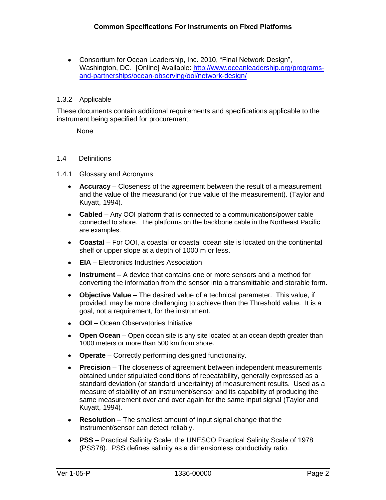Consortium for Ocean Leadership, Inc. 2010, "Final Network Design", Washington, DC. [Online] Available: [http://www.oceanleadership.org/programs](http://www.oceanleadership.org/programs-and-partnerships/ocean-observing/ooi/network-design/)[and-partnerships/ocean-observing/ooi/network-design/](http://www.oceanleadership.org/programs-and-partnerships/ocean-observing/ooi/network-design/)

#### <span id="page-6-0"></span>1.3.2 Applicable

These documents contain additional requirements and specifications applicable to the instrument being specified for procurement.

None

#### <span id="page-6-1"></span>1.4 Definitions

#### <span id="page-6-2"></span>1.4.1 Glossary and Acronyms

- **Accuracy** Closeness of the agreement between the result of a measurement and the value of the measurand (or true value of the measurement). (Taylor and Kuyatt, 1994).
- **Cabled**  Any OOI platform that is connected to a communications/power cable connected to shore. The platforms on the backbone cable in the Northeast Pacific are examples.
- **Coastal**  For OOI, a coastal or coastal ocean site is located on the continental shelf or upper slope at a depth of 1000 m or less.
- **EIA** Electronics Industries Association
- **Instrument** A device that contains one or more sensors and a method for converting the information from the sensor into a transmittable and storable form.
- **Objective Value** The desired value of a technical parameter. This value, if provided, may be more challenging to achieve than the Threshold value. It is a goal, not a requirement, for the instrument.
- **OOI**  Ocean Observatories Initiative
- **Open Ocean**  Open ocean site is any site located at an ocean depth greater than 1000 meters or more than 500 km from shore.
- **Operate** Correctly performing designed functionality.  $\bullet$
- **Precision**  The closeness of agreement between independent measurements  $\bullet$ obtained under stipulated conditions of repeatability, generally expressed as a standard deviation (or standard uncertainty) of measurement results. Used as a measure of stability of an instrument/sensor and its capability of producing the same measurement over and over again for the same input signal (Taylor and Kuyatt, 1994).
- **Resolution** The smallest amount of input signal change that the instrument/sensor can detect reliably.
- **PSS** Practical Salinity Scale, the UNESCO Practical Salinity Scale of 1978 (PSS78). PSS defines salinity as a dimensionless conductivity ratio.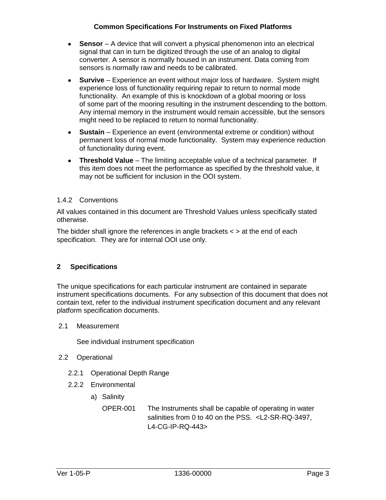- **Sensor** A device that will convert a physical phenomenon into an electrical signal that can in turn be digitized through the use of an analog to digital converter. A sensor is normally housed in an instrument. Data coming from sensors is normally raw and needs to be calibrated.
- **Survive** Experience an event without major loss of hardware. System might experience loss of functionality requiring repair to return to normal mode functionality. An example of this is knockdown of a global mooring or loss of some part of the mooring resulting in the instrument descending to the bottom. Any internal memory in the instrument would remain accessible, but the sensors might need to be replaced to return to normal functionality.
- **Sustain** Experience an event (environmental extreme or condition) without  $\bullet$ permanent loss of normal mode functionality. System may experience reduction of functionality during event.
- **Threshold Value** The limiting acceptable value of a technical parameter. If this item does not meet the performance as specified by the threshold value, it may not be sufficient for inclusion in the OOI system.

#### <span id="page-7-0"></span>1.4.2 Conventions

All values contained in this document are Threshold Values unless specifically stated otherwise.

The bidder shall ignore the references in angle brackets < > at the end of each specification. They are for internal OOI use only.

## <span id="page-7-1"></span>**2 Specifications**

The unique specifications for each particular instrument are contained in separate instrument specifications documents. For any subsection of this document that does not contain text, refer to the individual instrument specification document and any relevant platform specification documents.

#### <span id="page-7-2"></span>2.1 Measurement

See individual instrument specification

- <span id="page-7-5"></span><span id="page-7-4"></span><span id="page-7-3"></span>2.2 Operational
	- 2.2.1 Operational Depth Range
	- 2.2.2 Environmental
		- a) Salinity

OPER-001 The Instruments shall be capable of operating in water salinities from 0 to 40 on the PSS. <L2-SR-RQ-3497, L4-CG-IP-RQ-443>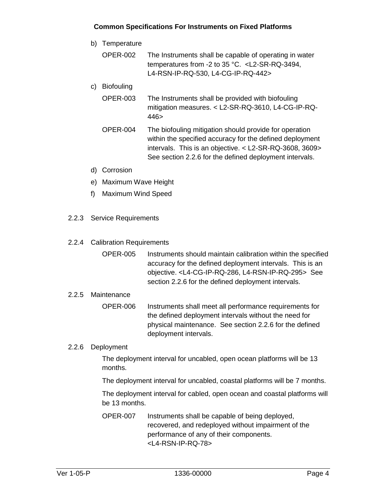- b) Temperature
	- OPER-002 The Instruments shall be capable of operating in water temperatures from -2 to 35 °C. <L2-SR-RQ-3494, L4-RSN-IP-RQ-530, L4-CG-IP-RQ-442>
- c) Biofouling
	- OPER-003 The Instruments shall be provided with biofouling mitigation measures. < L2-SR-RQ-3610, L4-CG-IP-RQ-446>
	- OPER-004 The biofouling mitigation should provide for operation within the specified accuracy for the defined deployment intervals. This is an objective. < L2-SR-RQ-3608, 3609> See section 2.2.6 for the defined deployment intervals.
- d) Corrosion
- e) Maximum Wave Height
- f) Maximum Wind Speed
- <span id="page-8-0"></span>2.2.3 Service Requirements
- <span id="page-8-1"></span>2.2.4 Calibration Requirements
	- OPER-005 Instruments should maintain calibration within the specified accuracy for the defined deployment intervals. This is an objective. <L4-CG-IP-RQ-286, L4-RSN-IP-RQ-295> See section 2.2.6 for the defined deployment intervals.

#### <span id="page-8-2"></span>2.2.5 Maintenance

OPER-006 Instruments shall meet all performance requirements for the defined deployment intervals without the need for physical maintenance. See section 2.2.6 for the defined deployment intervals.

#### <span id="page-8-3"></span>2.2.6 Deployment

The deployment interval for uncabled, open ocean platforms will be 13 months.

The deployment interval for uncabled, coastal platforms will be 7 months.

The deployment interval for cabled, open ocean and coastal platforms will be 13 months.

OPER-007 Instruments shall be capable of being deployed, recovered, and redeployed without impairment of the performance of any of their components. <L4-RSN-IP-RQ-78>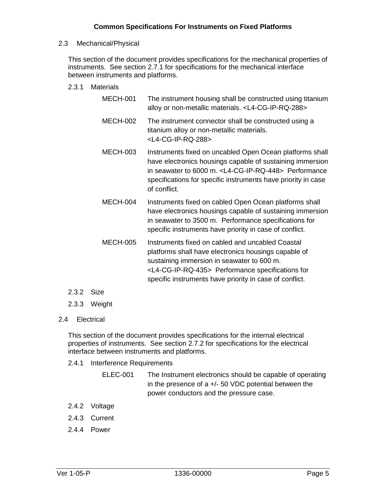#### <span id="page-9-0"></span>2.3 Mechanical/Physical

This section of the document provides specifications for the mechanical properties of instruments. See section 2.7.1 for specifications for the mechanical interface between instruments and platforms.

#### <span id="page-9-1"></span>2.3.1 Materials

| <b>MECH-001</b> | The instrument housing shall be constructed using titanium<br>alloy or non-metallic materials. <l4-cg-ip-rq-288></l4-cg-ip-rq-288>                                                                                                                                                 |
|-----------------|------------------------------------------------------------------------------------------------------------------------------------------------------------------------------------------------------------------------------------------------------------------------------------|
| <b>MECH-002</b> | The instrument connector shall be constructed using a<br>titanium alloy or non-metallic materials.<br><l4-cg-ip-rq-288></l4-cg-ip-rq-288>                                                                                                                                          |
| <b>MECH-003</b> | Instruments fixed on uncabled Open Ocean platforms shall<br>have electronics housings capable of sustaining immersion<br>in seawater to 6000 m. <l4-cg-ip-rq-448> Performance<br/>specifications for specific instruments have priority in case<br/>of conflict.</l4-cg-ip-rq-448> |
| <b>MECH-004</b> | Instruments fixed on cabled Open Ocean platforms shall<br>have electronics housings capable of sustaining immersion<br>in seawater to 3500 m. Performance specifications for<br>specific instruments have priority in case of conflict.                                            |
| <b>MECH-005</b> | Instruments fixed on cabled and uncabled Coastal<br>platforms shall have electronics housings capable of<br>sustaining immersion in seawater to 600 m.                                                                                                                             |

<L4-CG-IP-RQ-435> Performance specifications for specific instruments have priority in case of conflict.

- <span id="page-9-2"></span>2.3.2 Size
- <span id="page-9-3"></span>2.3.3 Weight
- <span id="page-9-4"></span>2.4 Electrical

This section of the document provides specifications for the internal electrical properties of instruments. See section 2.7.2 for specifications for the electrical interface between instruments and platforms.

- <span id="page-9-5"></span>2.4.1 Interference Requirements
	- ELEC-001 The Instrument electronics should be capable of operating in the presence of  $a +/-$  50 VDC potential between the power conductors and the pressure case.
- <span id="page-9-6"></span>2.4.2 Voltage
- <span id="page-9-7"></span>2.4.3 Current
- <span id="page-9-8"></span>2.4.4 Power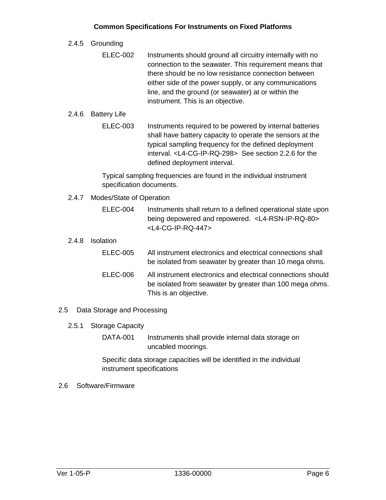<span id="page-10-0"></span>2.4.5 Grounding

ELEC-002 Instruments should ground all circuitry internally with no connection to the seawater. This requirement means that there should be no low resistance connection between either side of the power supply, or any communications line, and the ground (or seawater) at or within the instrument. This is an objective.

#### <span id="page-10-1"></span>2.4.6 Battery Life

ELEC-003 Instruments required to be powered by internal batteries shall have battery capacity to operate the sensors at the typical sampling frequency for the defined deployment interval. <L4-CG-IP-RQ-298> See section 2.2.6 for the defined deployment interval.

Typical sampling frequencies are found in the individual instrument specification documents.

- <span id="page-10-2"></span>2.4.7 Modes/State of Operation
	- ELEC-004 Instruments shall return to a defined operational state upon being depowered and repowered. <L4-RSN-IP-RQ-80> <L4-CG-IP-RQ-447>
- <span id="page-10-3"></span>2.4.8 Isolation

| <b>ELEC-005</b> | All instrument electronics and electrical connections shall<br>be isolated from seawater by greater than 10 mega ohms.                            |
|-----------------|---------------------------------------------------------------------------------------------------------------------------------------------------|
| ELEC-006        | All instrument electronics and electrical connections should<br>be isolated from seawater by greater than 100 mega ohms.<br>This is an objective. |

- <span id="page-10-5"></span><span id="page-10-4"></span>2.5 Data Storage and Processing
	- 2.5.1 Storage Capacity
		- DATA-001 Instruments shall provide internal data storage on uncabled moorings.

Specific data storage capacities will be identified in the individual instrument specifications

<span id="page-10-6"></span>2.6 Software/Firmware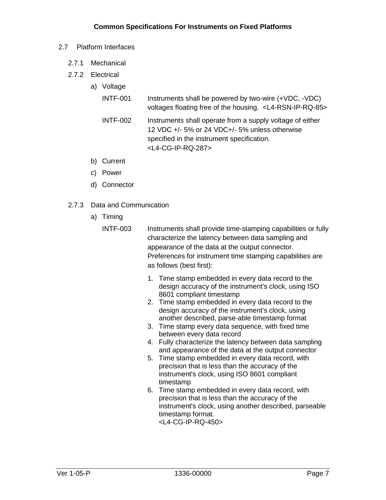#### <span id="page-11-0"></span>2.7 Platform Interfaces

- <span id="page-11-1"></span>2.7.1 Mechanical
- <span id="page-11-2"></span>2.7.2 Electrical
	- a) Voltage
		- INTF-001 Instruments shall be powered by two-wire (+VDC, -VDC) voltages floating free of the housing. <L4-RSN-IP-RQ-85>
		- INTF-002 Instruments shall operate from a supply voltage of either 12 VDC +/- 5% or 24 VDC+/- 5% unless otherwise specified in the instrument specification. <L4-CG-IP-RQ-287>
	- b) Current
	- c) Power
	- d) Connector
- <span id="page-11-3"></span>2.7.3 Data and Communication
	- a) Timing
		- INTF-003 Instruments shall provide time-stamping capabilities or fully characterize the latency between data sampling and appearance of the data at the output connector. Preferences for instrument time stamping capabilities are as follows (best first):
			- 1. Time stamp embedded in every data record to the design accuracy of the instrument's clock, using ISO 8601 compliant timestamp
			- 2. Time stamp embedded in every data record to the design accuracy of the instrument's clock, using another described, parse-able timestamp format
			- 3. Time stamp every data sequence, with fixed time between every data record
			- 4. Fully characterize the latency between data sampling and appearance of the data at the output connector
			- 5. Time stamp embedded in every data record, with precision that is less than the accuracy of the instrument's clock, using ISO 8601 compliant timestamp
			- 6. Time stamp embedded in every data record, with precision that is less than the accuracy of the instrument's clock, using another described, parseable timestamp format. <L4-CG-IP-RQ-450>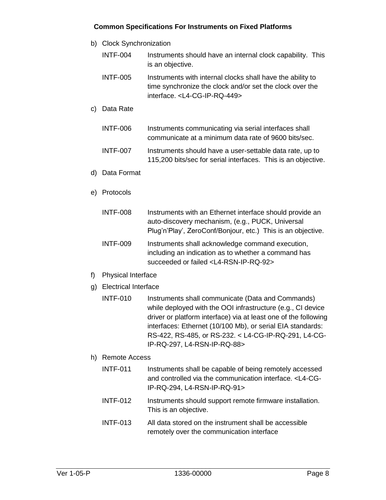- b) Clock Synchronization
	- INTF-004 Instruments should have an internal clock capability. This is an objective.
	- INTF-005 Instruments with internal clocks shall have the ability to time synchronize the clock and/or set the clock over the interface. <L4-CG-IP-RQ-449>
- c) Data Rate

| INTF-006        | Instruments communicating via serial interfaces shall    |
|-----------------|----------------------------------------------------------|
|                 | communicate at a minimum data rate of 9600 bits/sec.     |
| <b>INTF-007</b> | Instruments should have a user-settable data rate, up to |

115,200 bits/sec for serial interfaces. This is an objective.

- d) Data Format
- e) Protocols

| INTF-008 | Instruments with an Ethernet interface should provide an    |
|----------|-------------------------------------------------------------|
|          | auto-discovery mechanism, (e.g., PUCK, Universal            |
|          | Plug'n'Play', ZeroConf/Bonjour, etc.) This is an objective. |
|          |                                                             |

- INTF-009 Instruments shall acknowledge command execution, including an indication as to whether a command has succeeded or failed <L4-RSN-IP-RQ-92>
- f) Physical Interface
- g) Electrical Interface
	- INTF-010 Instruments shall communicate (Data and Commands) while deployed with the OOI infrastructure (e.g., CI device driver or platform interface) via at least one of the following interfaces: Ethernet (10/100 Mb), or serial EIA standards: RS-422, RS-485, or RS-232. < L4-CG-IP-RQ-291, L4-CG-IP-RQ-297, L4-RSN-IP-RQ-88>
- h) Remote Access
	- INTF-011 Instruments shall be capable of being remotely accessed and controlled via the communication interface. <L4-CG-IP-RQ-294, L4-RSN-IP-RQ-91>
	- INTF-012 Instruments should support remote firmware installation. This is an objective.
	- INTF-013 All data stored on the instrument shall be accessible remotely over the communication interface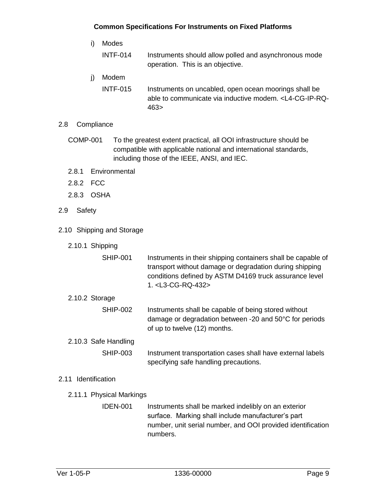- i) Modes INTF-014 Instruments should allow polled and asynchronous mode operation. This is an objective. j) Modem INTF-015 Instruments on uncabled, open ocean moorings shall be
	- able to communicate via inductive modem. <L4-CG-IP-RQ-463>

## <span id="page-13-0"></span>2.8 Compliance

- COMP-001 To the greatest extent practical, all OOI infrastructure should be compatible with applicable national and international standards, including those of the IEEE, ANSI, and IEC.
- <span id="page-13-1"></span>2.8.1 Environmental
- <span id="page-13-2"></span>2.8.2 FCC
- <span id="page-13-3"></span>2.8.3 OSHA
- <span id="page-13-4"></span>2.9 Safety
- <span id="page-13-5"></span>2.10 Shipping and Storage
	- 2.10.1 Shipping

<span id="page-13-7"></span><span id="page-13-6"></span>

| SHIP-001             | Instruments in their shipping containers shall be capable of<br>transport without damage or degradation during shipping<br>conditions defined by ASTM D4169 truck assurance level<br>1. <l3-cg-rq-432></l3-cg-rq-432> |
|----------------------|-----------------------------------------------------------------------------------------------------------------------------------------------------------------------------------------------------------------------|
| 2.10.2 Storage       |                                                                                                                                                                                                                       |
| <b>SHIP-002</b>      | Instruments shall be capable of being stored without<br>damage or degradation between -20 and 50°C for periods<br>of up to twelve (12) months.                                                                        |
| 2.10.3 Safe Handling |                                                                                                                                                                                                                       |
| SHIP-003             | Instrument transportation cases shall have external labels<br>specifying safe handling precautions.                                                                                                                   |
| 2.11 Identification  |                                                                                                                                                                                                                       |

- <span id="page-13-10"></span><span id="page-13-9"></span><span id="page-13-8"></span>2.11.1 Physical Markings
	- IDEN-001 Instruments shall be marked indelibly on an exterior surface. Marking shall include manufacturer's part number, unit serial number, and OOI provided identification numbers.